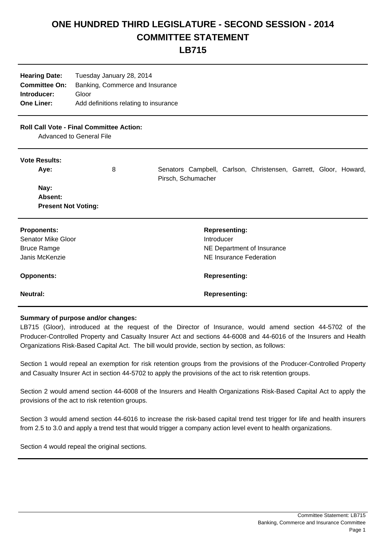## **ONE HUNDRED THIRD LEGISLATURE - SECOND SESSION - 2014 COMMITTEE STATEMENT**

**LB715**

**Hearing Date:** Tuesday January 28, 2014 **Committee On:** Banking, Commerce and Insurance **Introducer:** Gloor **One Liner:** Add definitions relating to insurance

## **Roll Call Vote - Final Committee Action:**

Advanced to General File

## **Vote Results:**

| Aye:                       | 8 | Pirsch, Schumacher |            |                         | Senators Campbell, Carlson, Christensen, Garrett, Gloor, Howard, |  |  |
|----------------------------|---|--------------------|------------|-------------------------|------------------------------------------------------------------|--|--|
| Nay:                       |   |                    |            |                         |                                                                  |  |  |
| Absent:                    |   |                    |            |                         |                                                                  |  |  |
| <b>Present Not Voting:</b> |   |                    |            |                         |                                                                  |  |  |
| <b>Proponents:</b>         |   |                    |            | <b>Representing:</b>    |                                                                  |  |  |
| <b>Senator Mike Gloor</b>  |   |                    | Introducer |                         |                                                                  |  |  |
| <b>Bruce Ramge</b>         |   |                    |            |                         | NE Department of Insurance                                       |  |  |
| Janis McKenzie             |   |                    |            | NE Insurance Federation |                                                                  |  |  |
| <b>Opponents:</b>          |   |                    |            | <b>Representing:</b>    |                                                                  |  |  |
| Neutral:                   |   |                    |            | <b>Representing:</b>    |                                                                  |  |  |

## **Summary of purpose and/or changes:**

LB715 (Gloor), introduced at the request of the Director of Insurance, would amend section 44-5702 of the Producer-Controlled Property and Casualty Insurer Act and sections 44-6008 and 44-6016 of the Insurers and Health Organizations Risk-Based Capital Act. The bill would provide, section by section, as follows:

Section 1 would repeal an exemption for risk retention groups from the provisions of the Producer-Controlled Property and Casualty Insurer Act in section 44-5702 to apply the provisions of the act to risk retention groups.

Section 2 would amend section 44-6008 of the Insurers and Health Organizations Risk-Based Capital Act to apply the provisions of the act to risk retention groups.

Section 3 would amend section 44-6016 to increase the risk-based capital trend test trigger for life and health insurers from 2.5 to 3.0 and apply a trend test that would trigger a company action level event to health organizations.

Section 4 would repeal the original sections.